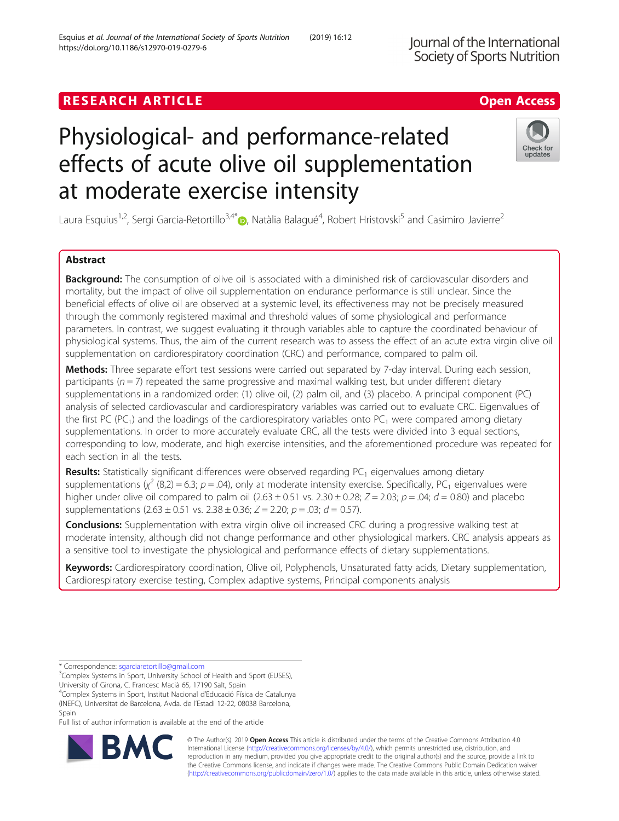## **RESEARCH ARTICLE Example 2018 12:30 The Contract of Contract ACCESS**

# Physiological- and performance-related effects of acute olive oil supplementation at moderate exercise intensity

Laura Esquius<sup>1[,](http://orcid.org/0000-0002-4867-1589)2</sup>, Sergi Garcia-Retortillo<sup>3,4\*</sup>®, Natàlia Balagué<sup>4</sup>, Robert Hristovski<sup>5</sup> and Casimiro Javierre<sup>2</sup>

## Abstract

Background: The consumption of olive oil is associated with a diminished risk of cardiovascular disorders and mortality, but the impact of olive oil supplementation on endurance performance is still unclear. Since the beneficial effects of olive oil are observed at a systemic level, its effectiveness may not be precisely measured through the commonly registered maximal and threshold values of some physiological and performance parameters. In contrast, we suggest evaluating it through variables able to capture the coordinated behaviour of physiological systems. Thus, the aim of the current research was to assess the effect of an acute extra virgin olive oil supplementation on cardiorespiratory coordination (CRC) and performance, compared to palm oil.

Methods: Three separate effort test sessions were carried out separated by 7-day interval. During each session, participants ( $n = 7$ ) repeated the same progressive and maximal walking test, but under different dietary supplementations in a randomized order: (1) olive oil, (2) palm oil, and (3) placebo. A principal component (PC) analysis of selected cardiovascular and cardiorespiratory variables was carried out to evaluate CRC. Eigenvalues of the first PC (PC<sub>1</sub>) and the loadings of the cardiorespiratory variables onto PC<sub>1</sub> were compared among dietary supplementations. In order to more accurately evaluate CRC, all the tests were divided into 3 equal sections, corresponding to low, moderate, and high exercise intensities, and the aforementioned procedure was repeated for each section in all the tests.

Results: Statistically significant differences were observed regarding PC<sub>1</sub> eigenvalues among dietary  $s$ upplementations  $(\chi^2(8,2) = 6.3; p = .04)$ , only at moderate intensity exercise. Specifically, PC<sub>1</sub> eigenvalues were higher under olive oil compared to palm oil (2.63  $\pm$  0.51 vs. 2.30  $\pm$  0.28; Z = 2.03; p = .04; d = 0.80) and placebo supplementations  $(2.63 \pm 0.51 \text{ vs. } 2.38 \pm 0.36; Z = 2.20; p = .03; d = 0.57)$ .

**Conclusions:** Supplementation with extra virgin olive oil increased CRC during a progressive walking test at moderate intensity, although did not change performance and other physiological markers. CRC analysis appears as a sensitive tool to investigate the physiological and performance effects of dietary supplementations.

Keywords: Cardiorespiratory coordination, Olive oil, Polyphenols, Unsaturated fatty acids, Dietary supplementation, Cardiorespiratory exercise testing, Complex adaptive systems, Principal components analysis

RA

<sup>3</sup>Complex Systems in Sport, University School of Health and Sport (EUSES),

University of Girona, C. Francesc Macià 65, 17190 Salt, Spain

<sup>4</sup>Complex Systems in Sport, Institut Nacional d'Educació Física de Catalunya (INEFC), Universitat de Barcelona, Avda. de l'Estadi 12-22, 08038 Barcelona, Spain

Full list of author information is available at the end of the article

© The Author(s). 2019 **Open Access** This article is distributed under the terms of the Creative Commons Attribution 4.0 International License [\(http://creativecommons.org/licenses/by/4.0/](http://creativecommons.org/licenses/by/4.0/)), which permits unrestricted use, distribution, and reproduction in any medium, provided you give appropriate credit to the original author(s) and the source, provide a link to the Creative Commons license, and indicate if changes were made. The Creative Commons Public Domain Dedication waiver [\(http://creativecommons.org/publicdomain/zero/1.0/](http://creativecommons.org/publicdomain/zero/1.0/)) applies to the data made available in this article, unless otherwise stated.

Esquius et al. Journal of the International Society of Sports Nutrition (2019) 16:12





Check for updates

<sup>\*</sup> Correspondence: [sgarciaretortillo@gmail.com](mailto:sgarciaretortillo@gmail.com) <sup>3</sup>

https://doi.org/10.1186/s12970-019-0279-6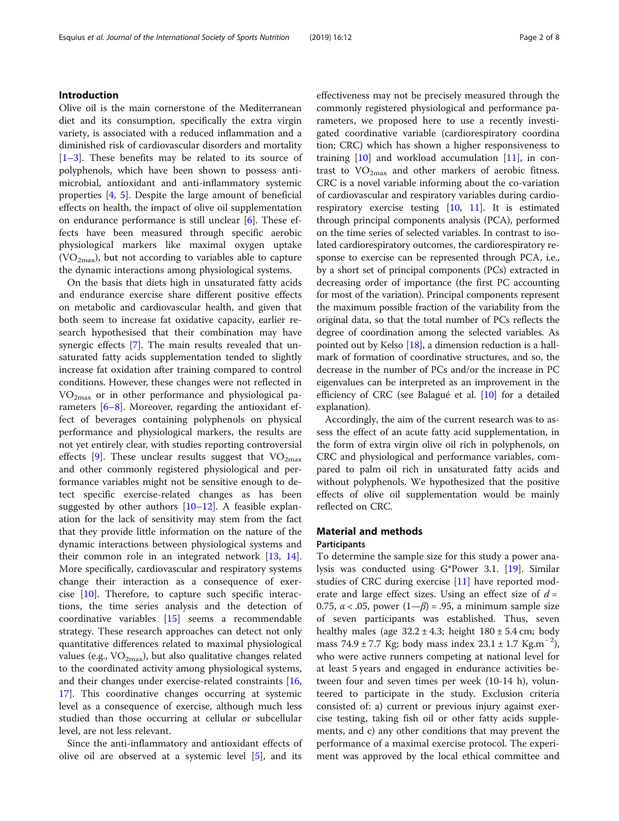## Introduction

Olive oil is the main cornerstone of the Mediterranean diet and its consumption, specifically the extra virgin variety, is associated with a reduced inflammation and a diminished risk of cardiovascular disorders and mortality [[1](#page-6-0)–[3\]](#page-6-0). These benefits may be related to its source of polyphenols, which have been shown to possess antimicrobial, antioxidant and anti-inflammatory systemic properties [[4,](#page-7-0) [5\]](#page-7-0). Despite the large amount of beneficial effects on health, the impact of olive oil supplementation on endurance performance is still unclear [[6\]](#page-7-0). These effects have been measured through specific aerobic physiological markers like maximal oxygen uptake  $(VO<sub>2max</sub>)$ , but not according to variables able to capture the dynamic interactions among physiological systems.

On the basis that diets high in unsaturated fatty acids and endurance exercise share different positive effects on metabolic and cardiovascular health, and given that both seem to increase fat oxidative capacity, earlier research hypothesised that their combination may have synergic effects [[7\]](#page-7-0). The main results revealed that unsaturated fatty acids supplementation tended to slightly increase fat oxidation after training compared to control conditions. However, these changes were not reflected in VO2max or in other performance and physiological parameters [\[6](#page-7-0)–[8](#page-7-0)]. Moreover, regarding the antioxidant effect of beverages containing polyphenols on physical performance and physiological markers, the results are not yet entirely clear, with studies reporting controversial effects [\[9\]](#page-7-0). These unclear results suggest that  $VO<sub>2max</sub>$ and other commonly registered physiological and performance variables might not be sensitive enough to detect specific exercise-related changes as has been suggested by other authors [[10](#page-7-0)–[12](#page-7-0)]. A feasible explanation for the lack of sensitivity may stem from the fact that they provide little information on the nature of the dynamic interactions between physiological systems and their common role in an integrated network [\[13](#page-7-0), [14](#page-7-0)]. More specifically, cardiovascular and respiratory systems change their interaction as a consequence of exercise [[10](#page-7-0)]. Therefore, to capture such specific interactions, the time series analysis and the detection of coordinative variables [[15\]](#page-7-0) seems a recommendable strategy. These research approaches can detect not only quantitative differences related to maximal physiological values (e.g.,  $VO_{2max}$ ), but also qualitative changes related to the coordinated activity among physiological systems, and their changes under exercise-related constraints [[16](#page-7-0), [17\]](#page-7-0). This coordinative changes occurring at systemic level as a consequence of exercise, although much less studied than those occurring at cellular or subcellular level, are not less relevant.

Since the anti-inflammatory and antioxidant effects of olive oil are observed at a systemic level [\[5](#page-7-0)], and its effectiveness may not be precisely measured through the commonly registered physiological and performance parameters, we proposed here to use a recently investigated coordinative variable (cardiorespiratory coordina tion; CRC) which has shown a higher responsiveness to training  $[10]$  $[10]$  $[10]$  and workload accumulation  $[11]$  $[11]$  $[11]$ , in contrast to  $VO<sub>2max</sub>$  and other markers of aerobic fitness. CRC is a novel variable informing about the co-variation of cardiovascular and respiratory variables during cardiorespiratory exercise testing [[10,](#page-7-0) [11\]](#page-7-0). It is estimated through principal components analysis (PCA), performed on the time series of selected variables. In contrast to isolated cardiorespiratory outcomes, the cardiorespiratory response to exercise can be represented through PCA, i.e., by a short set of principal components (PCs) extracted in decreasing order of importance (the first PC accounting for most of the variation). Principal components represent the maximum possible fraction of the variability from the original data, so that the total number of PCs reflects the degree of coordination among the selected variables. As pointed out by Kelso [[18\]](#page-7-0), a dimension reduction is a hallmark of formation of coordinative structures, and so, the decrease in the number of PCs and/or the increase in PC eigenvalues can be interpreted as an improvement in the efficiency of CRC (see Balagué et al. [[10](#page-7-0)] for a detailed explanation).

Accordingly, the aim of the current research was to assess the effect of an acute fatty acid supplementation, in the form of extra virgin olive oil rich in polyphenols, on CRC and physiological and performance variables, compared to palm oil rich in unsaturated fatty acids and without polyphenols. We hypothesized that the positive effects of olive oil supplementation would be mainly reflected on CRC.

## Material and methods **Participants**

To determine the sample size for this study a power analysis was conducted using G\*Power 3.1. [[19\]](#page-7-0). Similar studies of CRC during exercise [[11\]](#page-7-0) have reported moderate and large effect sizes. Using an effect size of  $d =$ 0.75,  $\alpha$  < .05, power (1– $\beta$ ) = .95, a minimum sample size of seven participants was established. Thus, seven healthy males (age  $32.2 \pm 4.3$ ; height  $180 \pm 5.4$  cm; body mass  $74.9 \pm 7.7$  Kg; body mass index  $23.1 \pm 1.7$  Kg.m<sup>-2</sup>), who were active runners competing at national level for at least 5 years and engaged in endurance activities between four and seven times per week (10-14 h), volunteered to participate in the study. Exclusion criteria consisted of: a) current or previous injury against exercise testing, taking fish oil or other fatty acids supplements, and c) any other conditions that may prevent the performance of a maximal exercise protocol. The experiment was approved by the local ethical committee and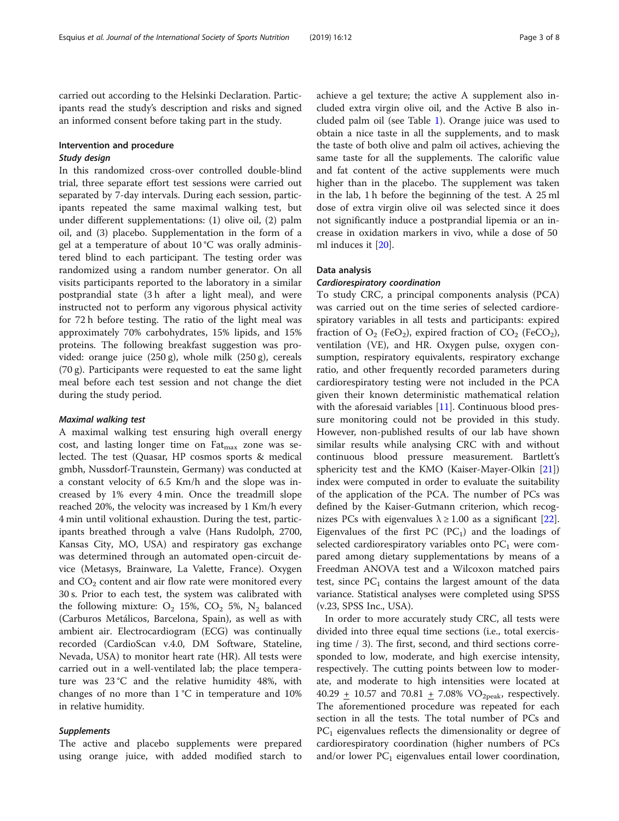carried out according to the Helsinki Declaration. Participants read the study's description and risks and signed an informed consent before taking part in the study.

## Intervention and procedure Study design

In this randomized cross-over controlled double-blind trial, three separate effort test sessions were carried out separated by 7-day intervals. During each session, participants repeated the same maximal walking test, but under different supplementations: (1) olive oil, (2) palm oil, and (3) placebo. Supplementation in the form of a gel at a temperature of about 10 °C was orally administered blind to each participant. The testing order was randomized using a random number generator. On all visits participants reported to the laboratory in a similar postprandial state (3 h after a light meal), and were instructed not to perform any vigorous physical activity for 72 h before testing. The ratio of the light meal was approximately 70% carbohydrates, 15% lipids, and 15% proteins. The following breakfast suggestion was provided: orange juice (250 g), whole milk (250 g), cereals (70 g). Participants were requested to eat the same light meal before each test session and not change the diet during the study period.

## Maximal walking test

A maximal walking test ensuring high overall energy cost, and lasting longer time on  $F_{\text{max}}$  zone was selected. The test (Quasar, HP cosmos sports & medical gmbh, Nussdorf-Traunstein, Germany) was conducted at a constant velocity of 6.5 Km/h and the slope was increased by 1% every 4 min. Once the treadmill slope reached 20%, the velocity was increased by 1 Km/h every 4 min until volitional exhaustion. During the test, participants breathed through a valve (Hans Rudolph, 2700, Kansas City, MO, USA) and respiratory gas exchange was determined through an automated open-circuit device (Metasys, Brainware, La Valette, France). Oxygen and  $CO<sub>2</sub>$  content and air flow rate were monitored every 30 s. Prior to each test, the system was calibrated with the following mixture:  $O_2$  15%,  $CO_2$  5%,  $N_2$  balanced (Carburos Metálicos, Barcelona, Spain), as well as with ambient air. Electrocardiogram (ECG) was continually recorded (CardioScan v.4.0, DM Software, Stateline, Nevada, USA) to monitor heart rate (HR). All tests were carried out in a well-ventilated lab; the place temperature was 23 °C and the relative humidity 48%, with changes of no more than  $1\degree C$  in temperature and  $10\%$ in relative humidity.

#### Supplements

The active and placebo supplements were prepared using orange juice, with added modified starch to

achieve a gel texture; the active A supplement also included extra virgin olive oil, and the Active B also included palm oil (see Table [1](#page-3-0)). Orange juice was used to obtain a nice taste in all the supplements, and to mask the taste of both olive and palm oil actives, achieving the same taste for all the supplements. The calorific value and fat content of the active supplements were much higher than in the placebo. The supplement was taken in the lab, 1 h before the beginning of the test. A 25 ml dose of extra virgin olive oil was selected since it does not significantly induce a postprandial lipemia or an increase in oxidation markers in vivo, while a dose of 50 ml induces it [\[20](#page-7-0)].

## Data analysis

## Cardiorespiratory coordination

To study CRC, a principal components analysis (PCA) was carried out on the time series of selected cardiorespiratory variables in all tests and participants: expired fraction of  $O_2$  (FeO<sub>2</sub>), expired fraction of  $CO_2$  (FeCO<sub>2</sub>), ventilation (VE), and HR. Oxygen pulse, oxygen consumption, respiratory equivalents, respiratory exchange ratio, and other frequently recorded parameters during cardiorespiratory testing were not included in the PCA given their known deterministic mathematical relation with the aforesaid variables [[11](#page-7-0)]. Continuous blood pressure monitoring could not be provided in this study. However, non-published results of our lab have shown similar results while analysing CRC with and without continuous blood pressure measurement. Bartlett's sphericity test and the KMO (Kaiser-Mayer-Olkin [\[21](#page-7-0)]) index were computed in order to evaluate the suitability of the application of the PCA. The number of PCs was defined by the Kaiser-Gutmann criterion, which recognizes PCs with eigenvalues  $\lambda \ge 1.00$  as a significant [\[22](#page-7-0)]. Eigenvalues of the first PC  $(PC_1)$  and the loadings of selected cardiorespiratory variables onto  $PC<sub>1</sub>$  were compared among dietary supplementations by means of a Freedman ANOVA test and a Wilcoxon matched pairs test, since  $PC_1$  contains the largest amount of the data variance. Statistical analyses were completed using SPSS (v.23, SPSS Inc., USA).

In order to more accurately study CRC, all tests were divided into three equal time sections (i.e., total exercising time / 3). The first, second, and third sections corresponded to low, moderate, and high exercise intensity, respectively. The cutting points between low to moderate, and moderate to high intensities were located at 40.29  $\pm$  10.57 and 70.81  $\pm$  7.08% VO<sub>2peak</sub>, respectively. The aforementioned procedure was repeated for each section in all the tests. The total number of PCs and  $PC<sub>1</sub>$  eigenvalues reflects the dimensionality or degree of cardiorespiratory coordination (higher numbers of PCs and/or lower  $PC_1$  eigenvalues entail lower coordination,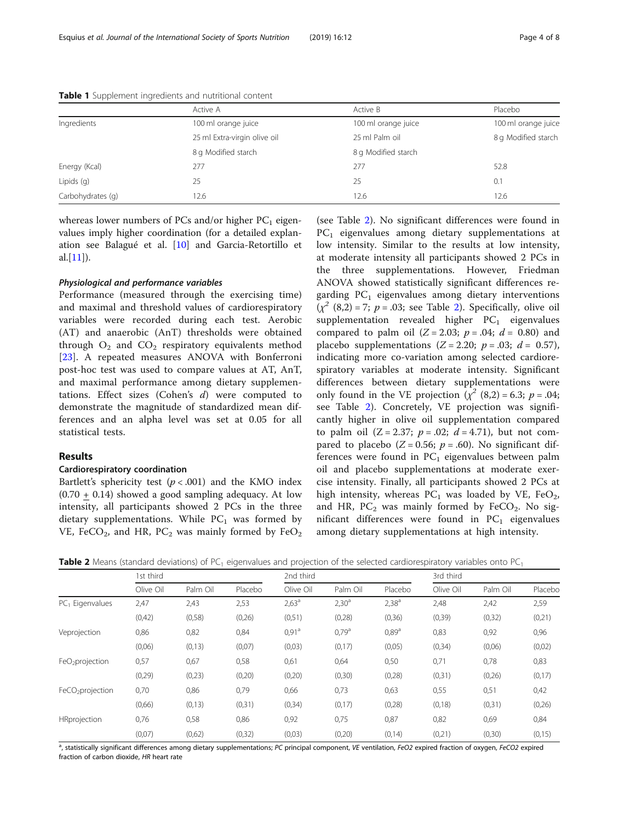| Active A                     | Active B            | Placebo             |  |
|------------------------------|---------------------|---------------------|--|
| 100 ml orange juice          | 100 ml orange juice | 100 ml orange juice |  |
| 25 ml Extra-virgin olive oil | 25 ml Palm oil      | 8 g Modified starch |  |
| 8 g Modified starch          | 8 g Modified starch |                     |  |
| 277                          | 277                 | 52.8                |  |
| 25                           | 25                  | 0.1                 |  |
| 12.6                         | 12.6                | 12.6                |  |
|                              |                     |                     |  |

<span id="page-3-0"></span>Table 1 Supplement ingredients and nutritional content

whereas lower numbers of PCs and/or higher  $PC<sub>1</sub>$  eigenvalues imply higher coordination (for a detailed explanation see Balagué et al. [[10](#page-7-0)] and Garcia-Retortillo et al. $[11]$  $[11]$ ).

## Physiological and performance variables

Performance (measured through the exercising time) and maximal and threshold values of cardiorespiratory variables were recorded during each test. Aerobic (AT) and anaerobic (AnT) thresholds were obtained through  $O_2$  and  $CO_2$  respiratory equivalents method [[23\]](#page-7-0). A repeated measures ANOVA with Bonferroni post-hoc test was used to compare values at AT, AnT, and maximal performance among dietary supplementations. Effect sizes (Cohen's  $d$ ) were computed to demonstrate the magnitude of standardized mean differences and an alpha level was set at 0.05 for all statistical tests.

#### Results

## Cardiorespiratory coordination

Bartlett's sphericity test ( $p < .001$ ) and the KMO index  $(0.70 + 0.14)$  showed a good sampling adequacy. At low intensity, all participants showed 2 PCs in the three dietary supplementations. While  $PC_1$  was formed by VE, FeCO<sub>2</sub>, and HR, PC<sub>2</sub> was mainly formed by FeO<sub>2</sub>

(see Table 2). No significant differences were found in  $PC<sub>1</sub>$  eigenvalues among dietary supplementations at low intensity. Similar to the results at low intensity, at moderate intensity all participants showed 2 PCs in the three supplementations. However, Friedman ANOVA showed statistically significant differences regarding  $PC_1$  eigenvalues among dietary interventions  $(x^{2}(8,2) = 7; p = .03;$  see Table 2). Specifically, olive oil supplementation revealed higher  $PC_1$  eigenvalues compared to palm oil  $(Z = 2.03; p = .04; d = 0.80)$  and placebo supplementations  $(Z = 2.20; p = .03; d = 0.57)$ , indicating more co-variation among selected cardiorespiratory variables at moderate intensity. Significant differences between dietary supplementations were only found in the VE projection  $(\chi^2 \ (8,2) = 6.3; \ p = .04;$ see Table 2). Concretely, VE projection was significantly higher in olive oil supplementation compared to palm oil  $(Z = 2.37; p = .02; d = 4.71)$ , but not compared to placebo ( $Z = 0.56$ ;  $p = .60$ ). No significant differences were found in  $PC<sub>1</sub>$  eigenvalues between palm oil and placebo supplementations at moderate exercise intensity. Finally, all participants showed 2 PCs at high intensity, whereas  $PC_1$  was loaded by VE, FeO<sub>2</sub>, and HR,  $PC_2$  was mainly formed by FeCO<sub>2</sub>. No significant differences were found in  $PC<sub>1</sub>$  eigenvalues among dietary supplementations at high intensity.

|                              | 1st third |          | 2nd third |                   |                   | 3rd third         |           |          |         |
|------------------------------|-----------|----------|-----------|-------------------|-------------------|-------------------|-----------|----------|---------|
|                              | Olive Oil | Palm Oil | Placebo   | Olive Oil         | Palm Oil          | Placebo           | Olive Oil | Palm Oil | Placebo |
| $PC1$ Eigenvalues            | 2,47      | 2,43     | 2,53      | $2,63^{\circ}$    | $2,30^{\circ}$    | $2,38^{a}$        | 2,48      | 2,42     | 2,59    |
|                              | (0,42)    | (0,58)   | (0,26)    | (0,51)            | (0, 28)           | (0,36)            | (0, 39)   | (0,32)   | (0,21)  |
| Veprojection                 | 0,86      | 0,82     | 0,84      | 0.91 <sup>a</sup> | 0.79 <sup>a</sup> | 0.89 <sup>a</sup> | 0,83      | 0,92     | 0,96    |
|                              | (0,06)    | (0, 13)  | (0,07)    | (0,03)            | (0,17)            | (0,05)            | (0, 34)   | (0,06)   | (0,02)  |
| FeO <sub>2</sub> projection  | 0,57      | 0,67     | 0,58      | 0,61              | 0,64              | 0,50              | 0,71      | 0,78     | 0,83    |
|                              | (0, 29)   | (0,23)   | (0,20)    | (0,20)            | (0,30)            | (0, 28)           | (0,31)    | (0,26)   | (0,17)  |
| FeCO <sub>2</sub> projection | 0,70      | 0,86     | 0,79      | 0,66              | 0,73              | 0,63              | 0,55      | 0,51     | 0,42    |
|                              | (0,66)    | (0, 13)  | (0,31)    | (0, 34)           | (0,17)            | (0, 28)           | (0, 18)   | (0,31)   | (0,26)  |
| HRprojection                 | 0,76      | 0,58     | 0,86      | 0,92              | 0,75              | 0,87              | 0,82      | 0,69     | 0,84    |
|                              | (0,07)    | (0.62)   | (0,32)    | (0,03)            | (0,20)            | (0, 14)           | (0,21)    | (0,30)   | (0, 15) |

**Table 2** Means (standard deviations) of PC<sub>1</sub> eigenvalues and projection of the selected cardiorespiratory variables onto PC<sub>1</sub>

a<br>Histatistically significant differences among dietary supplementations; PC principal component, VE ventilation, FeO2 expired fraction of oxygen, FeCO2 expired fraction of carbon dioxide, HR heart rate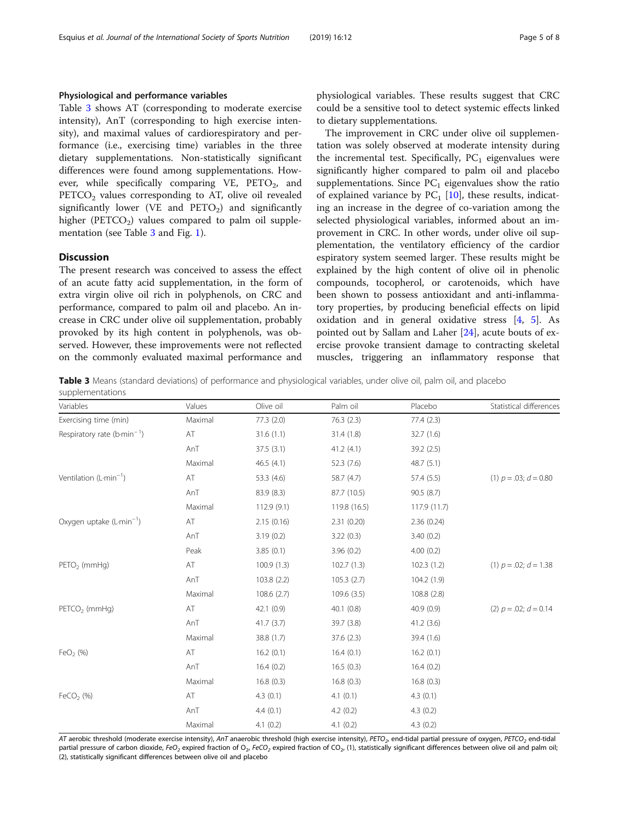## <span id="page-4-0"></span>Physiological and performance variables

Table 3 shows AT (corresponding to moderate exercise intensity), AnT (corresponding to high exercise intensity), and maximal values of cardiorespiratory and performance (i.e., exercising time) variables in the three dietary supplementations. Non-statistically significant differences were found among supplementations. However, while specifically comparing  $VE$ ,  $PETO<sub>2</sub>$ , and  $PETCO<sub>2</sub>$  values corresponding to AT, olive oil revealed significantly lower (VE and  $\text{PETO}_2$ ) and significantly higher ( $PETCO<sub>2</sub>$ ) values compared to palm oil supplementation (see Table 3 and Fig. [1\)](#page-5-0).

## **Discussion**

The present research was conceived to assess the effect of an acute fatty acid supplementation, in the form of extra virgin olive oil rich in polyphenols, on CRC and performance, compared to palm oil and placebo. An increase in CRC under olive oil supplementation, probably provoked by its high content in polyphenols, was observed. However, these improvements were not reflected on the commonly evaluated maximal performance and physiological variables. These results suggest that CRC could be a sensitive tool to detect systemic effects linked to dietary supplementations.

The improvement in CRC under olive oil supplementation was solely observed at moderate intensity during the incremental test. Specifically,  $PC_1$  eigenvalues were significantly higher compared to palm oil and placebo supplementations. Since  $PC_1$  eigenvalues show the ratio of explained variance by  $PC_1$  [[10](#page-7-0)], these results, indicating an increase in the degree of co-variation among the selected physiological variables, informed about an improvement in CRC. In other words, under olive oil supplementation, the ventilatory efficiency of the cardior espiratory system seemed larger. These results might be explained by the high content of olive oil in phenolic compounds, tocopherol, or carotenoids, which have been shown to possess antioxidant and anti-inflammatory properties, by producing beneficial effects on lipid oxidation and in general oxidative stress [\[4](#page-7-0), [5\]](#page-7-0). As pointed out by Sallam and Laher [\[24\]](#page-7-0), acute bouts of exercise provoke transient damage to contracting skeletal muscles, triggering an inflammatory response that

Table 3 Means (standard deviations) of performance and physiological variables, under olive oil, palm oil, and placebo supplementations

| Variables                               | Values  | Olive oil   | Palm oil     | Placebo      | Statistical differences    |
|-----------------------------------------|---------|-------------|--------------|--------------|----------------------------|
| Exercising time (min)                   | Maximal | 77.3(2.0)   | 76.3(2.3)    | 77.4(2.3)    |                            |
| Respiratory rate (b-min <sup>-1</sup> ) | AT      | 31.6(1.1)   | 31.4(1.8)    | 32.7(1.6)    |                            |
|                                         | AnT     | 37.5(3.1)   | 41.2(4.1)    | 39.2 (2.5)   |                            |
|                                         | Maximal | 46.5(4.1)   | 52.3 (7.6)   | 48.7 (5.1)   |                            |
| Ventilation $(L \cdot \text{min}^{-1})$ | AT      | 53.3 (4.6)  | 58.7 (4.7)   | 57.4 (5.5)   | $(1) p = .03; d = 0.80$    |
|                                         | AnT     | 83.9 (8.3)  | 87.7 (10.5)  | 90.5(8.7)    |                            |
|                                         | Maximal | 112.9(9.1)  | 119.8 (16.5) | 117.9 (11.7) |                            |
| Oxygen uptake (L-min <sup>-1</sup> )    | AT      | 2.15(0.16)  | 2.31(0.20)   | 2.36(0.24)   |                            |
|                                         | AnT     | 3.19(0.2)   | 3.22(0.3)    | 3.40(0.2)    |                            |
|                                         | Peak    | 3.85(0.1)   | 3.96(0.2)    | 4.00(0.2)    |                            |
| PETO <sub>2</sub> (mmHg)                | AT      | 100.9(1.3)  | 102.7(1.3)   | 102.3(1.2)   | $(1) p = .02; d = 1.38$    |
|                                         | AnT     | 103.8 (2.2) | 105.3(2.7)   | 104.2 (1.9)  |                            |
|                                         | Maximal | 108.6(2.7)  | 109.6(3.5)   | 108.8 (2.8)  |                            |
| PETCO <sub>2</sub> (mmHq)               | AT      | 42.1(0.9)   | 40.1(0.8)    | 40.9(0.9)    | (2) $p = .02$ ; $d = 0.14$ |
|                                         | AnT     | 41.7(3.7)   | 39.7 (3.8)   | 41.2(3.6)    |                            |
|                                         | Maximal | 38.8 (1.7)  | 37.6(2.3)    | 39.4 (1.6)   |                            |
| FeO <sub>2</sub> $(%)$                  | AT      | 16.2(0.1)   | 16.4(0.1)    | 16.2(0.1)    |                            |
|                                         | AnT     | 16.4(0.2)   | 16.5(0.3)    | 16.4(0.2)    |                            |
|                                         | Maximal | 16.8(0.3)   | 16.8(0.3)    | 16.8(0.3)    |                            |
| FeCO <sub>2</sub> $(\%)$                | AT      | 4.3(0.1)    | 4.1(0.1)     | 4.3(0.1)     |                            |
|                                         | AnT     | 4.4(0.1)    | 4.2(0.2)     | 4.3(0.2)     |                            |
|                                         | Maximal | 4.1(0.2)    | 4.1(0.2)     | 4.3(0.2)     |                            |

AT aerobic threshold (moderate exercise intensity), AnT anaerobic threshold (high exercise intensity), PETO<sub>2</sub>, end-tidal partial pressure of oxygen, PETCO<sub>2</sub> end-tidal partial pressure of carbon dioxide, FeO<sub>2</sub> expired fraction of  $O_2$ , FeCO<sub>2</sub> expired fraction of CO<sub>2</sub>, (1), statistically significant differences between olive oil and palm oil; (2), statistically significant differences between olive oil and placebo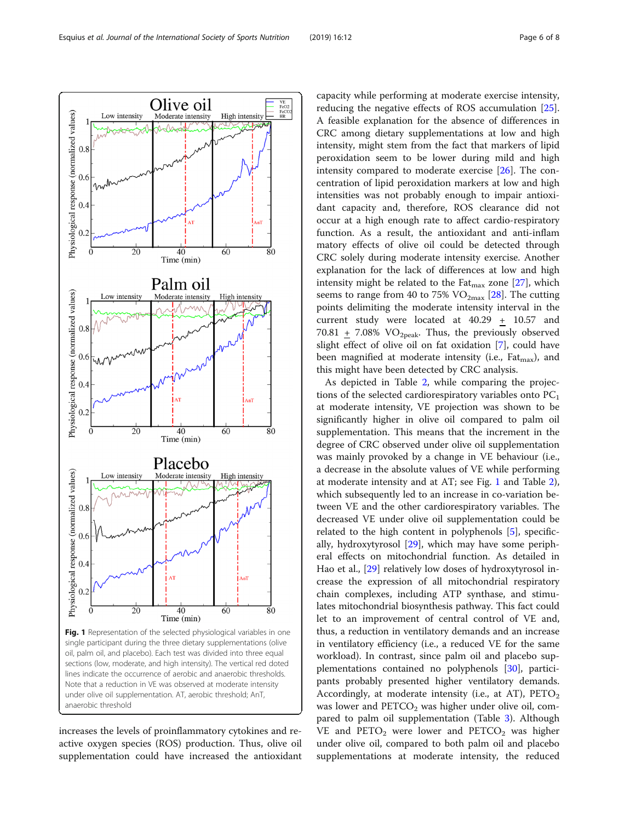<span id="page-5-0"></span>

increases the levels of proinflammatory cytokines and reactive oxygen species (ROS) production. Thus, olive oil supplementation could have increased the antioxidant

capacity while performing at moderate exercise intensity, reducing the negative effects of ROS accumulation [\[25](#page-7-0)]. A feasible explanation for the absence of differences in CRC among dietary supplementations at low and high intensity, might stem from the fact that markers of lipid peroxidation seem to be lower during mild and high intensity compared to moderate exercise [\[26](#page-7-0)]. The concentration of lipid peroxidation markers at low and high intensities was not probably enough to impair antioxidant capacity and, therefore, ROS clearance did not occur at a high enough rate to affect cardio-respiratory function. As a result, the antioxidant and anti-inflam matory effects of olive oil could be detected through CRC solely during moderate intensity exercise. Another explanation for the lack of differences at low and high intensity might be related to the Fat $_{\text{max}}$  zone [[27\]](#page-7-0), which seems to range from 40 to 75%  $VO_{2max}$  [[28](#page-7-0)]. The cutting points delimiting the moderate intensity interval in the current study were located at 40.29 + 10.57 and 70.81 + 7.08%  $VO<sub>2peak</sub>$ . Thus, the previously observed slight effect of olive oil on fat oxidation [[7](#page-7-0)], could have been magnified at moderate intensity (i.e.,  $F_{\text{at}_{\text{max}}}$ ), and this might have been detected by CRC analysis.

As depicted in Table [2](#page-3-0), while comparing the projections of the selected cardiorespiratory variables onto  $PC<sub>1</sub>$ at moderate intensity, VE projection was shown to be significantly higher in olive oil compared to palm oil supplementation. This means that the increment in the degree of CRC observed under olive oil supplementation was mainly provoked by a change in VE behaviour (i.e., a decrease in the absolute values of VE while performing at moderate intensity and at AT; see Fig. 1 and Table [2](#page-3-0)), which subsequently led to an increase in co-variation between VE and the other cardiorespiratory variables. The decreased VE under olive oil supplementation could be related to the high content in polyphenols [[5\]](#page-7-0), specifically, hydroxytyrosol [[29](#page-7-0)], which may have some peripheral effects on mitochondrial function. As detailed in Hao et al., [\[29\]](#page-7-0) relatively low doses of hydroxytyrosol increase the expression of all mitochondrial respiratory chain complexes, including ATP synthase, and stimulates mitochondrial biosynthesis pathway. This fact could let to an improvement of central control of VE and, thus, a reduction in ventilatory demands and an increase in ventilatory efficiency (i.e., a reduced VE for the same workload). In contrast, since palm oil and placebo supplementations contained no polyphenols [\[30\]](#page-7-0), participants probably presented higher ventilatory demands. Accordingly, at moderate intensity (i.e., at AT),  $PETO_2$ was lower and  $PETCO<sub>2</sub>$  was higher under olive oil, compared to palm oil supplementation (Table [3\)](#page-4-0). Although VE and  $PETO_2$  were lower and  $PETCO_2$  was higher under olive oil, compared to both palm oil and placebo supplementations at moderate intensity, the reduced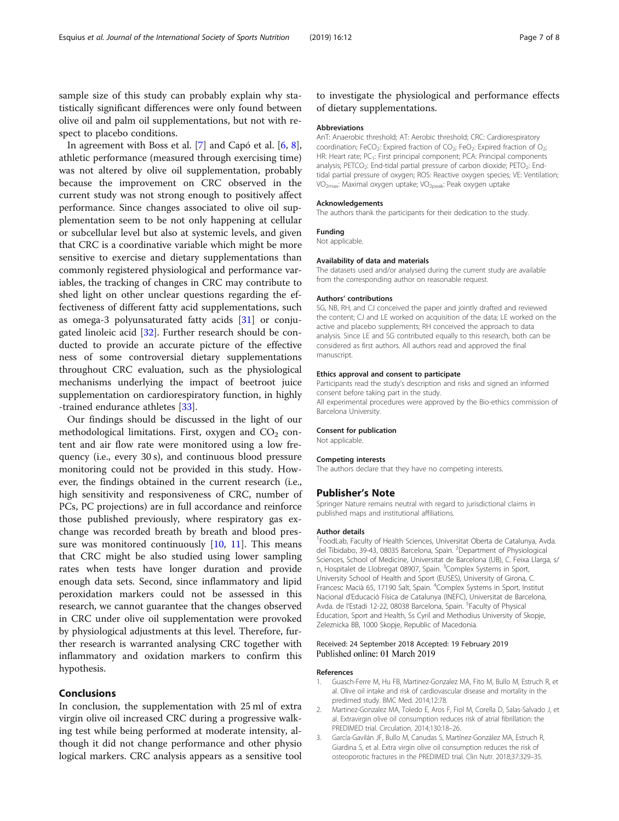<span id="page-6-0"></span>sample size of this study can probably explain why statistically significant differences were only found between olive oil and palm oil supplementations, but not with respect to placebo conditions.

In agreement with Boss et al. [[7\]](#page-7-0) and Capó et al. [\[6](#page-7-0), [8](#page-7-0)], athletic performance (measured through exercising time) was not altered by olive oil supplementation, probably because the improvement on CRC observed in the current study was not strong enough to positively affect performance. Since changes associated to olive oil supplementation seem to be not only happening at cellular or subcellular level but also at systemic levels, and given that CRC is a coordinative variable which might be more sensitive to exercise and dietary supplementations than commonly registered physiological and performance variables, the tracking of changes in CRC may contribute to shed light on other unclear questions regarding the effectiveness of different fatty acid supplementations, such as omega-3 polyunsaturated fatty acids [\[31](#page-7-0)] or conjugated linoleic acid [\[32\]](#page-7-0). Further research should be conducted to provide an accurate picture of the effective ness of some controversial dietary supplementations throughout CRC evaluation, such as the physiological mechanisms underlying the impact of beetroot juice supplementation on cardiorespiratory function, in highly -trained endurance athletes [[33\]](#page-7-0).

Our findings should be discussed in the light of our methodological limitations. First, oxygen and  $CO<sub>2</sub>$  content and air flow rate were monitored using a low frequency (i.e., every 30 s), and continuous blood pressure monitoring could not be provided in this study. However, the findings obtained in the current research (i.e., high sensitivity and responsiveness of CRC, number of PCs, PC projections) are in full accordance and reinforce those published previously, where respiratory gas exchange was recorded breath by breath and blood pres-sure was monitored continuously [[10](#page-7-0), [11\]](#page-7-0). This means that CRC might be also studied using lower sampling rates when tests have longer duration and provide enough data sets. Second, since inflammatory and lipid peroxidation markers could not be assessed in this research, we cannot guarantee that the changes observed in CRC under olive oil supplementation were provoked by physiological adjustments at this level. Therefore, further research is warranted analysing CRC together with inflammatory and oxidation markers to confirm this hypothesis.

#### Conclusions

In conclusion, the supplementation with 25 ml of extra virgin olive oil increased CRC during a progressive walking test while being performed at moderate intensity, although it did not change performance and other physio logical markers. CRC analysis appears as a sensitive tool

## to investigate the physiological and performance effects of dietary supplementations.

#### Abbreviations

AnT: Anaerobic threshold; AT: Aerobic threshold; CRC: Cardiorespiratory coordination; FeCO<sub>2</sub>: Expired fraction of CO<sub>2</sub>; FeO<sub>2</sub>: Expired fraction of O<sub>2</sub>; HR: Heart rate; PC<sub>1</sub>: First principal component; PCA: Principal components analysis; PETCO<sub>2</sub>: End-tidal partial pressure of carbon dioxide; PETO<sub>2</sub>: Endtidal partial pressure of oxygen; ROS: Reactive oxygen species; VE: Ventilation; VO<sub>2max</sub>: Maximal oxygen uptake; VO<sub>2peak</sub>: Peak oxygen uptake

#### Acknowledgements

The authors thank the participants for their dedication to the study.

#### Funding

Not applicable.

#### Availability of data and materials

The datasets used and/or analysed during the current study are available from the corresponding author on reasonable request.

#### Authors' contributions

SG, NB, RH, and CJ conceived the paper and jointly drafted and reviewed the content; CJ and LE worked on acquisition of the data; LE worked on the active and placebo supplements; RH conceived the approach to data analysis. Since LE and SG contributed equally to this research, both can be considered as first authors. All authors read and approved the final manuscript.

#### Ethics approval and consent to participate

Participants read the study's description and risks and signed an informed consent before taking part in the study.

All experimental procedures were approved by the Bio-ethics commission of Barcelona University.

#### Consent for publication

Not applicable.

#### Competing interests

The authors declare that they have no competing interests.

#### Publisher's Note

Springer Nature remains neutral with regard to jurisdictional claims in published maps and institutional affiliations.

#### Author details

<sup>1</sup> FoodLab, Faculty of Health Sciences, Universitat Oberta de Catalunya, Avda del Tibidabo, 39-43, 08035 Barcelona, Spain. <sup>2</sup>Department of Physiological Sciences, School of Medicine, Universitat de Barcelona (UB), C. Feixa Llarga, s/ n, Hospitalet de Llobregat 08907, Spain. <sup>3</sup>Complex Systems in Sport University School of Health and Sport (EUSES), University of Girona, C. Francesc Macià 65, 17190 Salt, Spain. <sup>4</sup>Complex Systems in Sport, Institut Nacional d'Educació Física de Catalunya (INEFC), Universitat de Barcelona, Avda. de l'Estadi 12-22, 08038 Barcelona, Spain. <sup>5</sup>Faculty of Physical Education, Sport and Health, Ss Cyril and Methodius University of Skopje, Zeleznicka BB, 1000 Skopje, Republic of Macedonia.

#### Received: 24 September 2018 Accepted: 19 February 2019 Published online: 01 March 2019

#### References

- 1. Guasch-Ferre M, Hu FB, Martinez-Gonzalez MA, Fito M, Bullo M, Estruch R, et al. Olive oil intake and risk of cardiovascular disease and mortality in the predimed study. BMC Med. 2014;12:78.
- 2. Martinez-Gonzalez MA, Toledo E, Aros F, Fiol M, Corella D, Salas-Salvado J, et al. Extravirgin olive oil consumption reduces risk of atrial fibrillation: the PREDIMED trial. Circulation. 2014;130:18–26.
- 3. García-Gavilán JF, Bullo M, Canudas S, Martínez-González MA, Estruch R, Giardina S, et al. Extra virgin olive oil consumption reduces the risk of osteoporotic fractures in the PREDIMED trial. Clin Nutr. 2018;37:329–35.